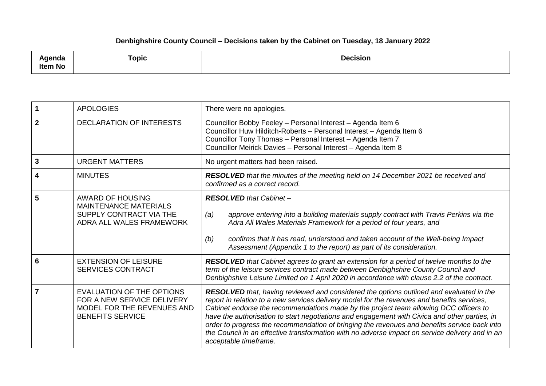## **Denbighshire County Council – Decisions taken by the Cabinet on Tuesday, 18 January 2022**

| .<br>enaa<br><b>Item No</b> | <b>Topic</b> | <b>Decision</b> |
|-----------------------------|--------------|-----------------|
|-----------------------------|--------------|-----------------|

|              | <b>APOLOGIES</b>                                                                                                 | There were no apologies.                                                                                                                                                                                                                                                                                                                                                                                                                                                                                                                                                                                     |
|--------------|------------------------------------------------------------------------------------------------------------------|--------------------------------------------------------------------------------------------------------------------------------------------------------------------------------------------------------------------------------------------------------------------------------------------------------------------------------------------------------------------------------------------------------------------------------------------------------------------------------------------------------------------------------------------------------------------------------------------------------------|
| $\mathbf{2}$ | <b>DECLARATION OF INTERESTS</b>                                                                                  | Councillor Bobby Feeley - Personal Interest - Agenda Item 6<br>Councillor Huw Hilditch-Roberts - Personal Interest - Agenda Item 6<br>Councillor Tony Thomas - Personal Interest - Agenda Item 7<br>Councillor Meirick Davies - Personal Interest - Agenda Item 8                                                                                                                                                                                                                                                                                                                                            |
| 3            | <b>URGENT MATTERS</b>                                                                                            | No urgent matters had been raised.                                                                                                                                                                                                                                                                                                                                                                                                                                                                                                                                                                           |
| 4            | <b>MINUTES</b>                                                                                                   | RESOLVED that the minutes of the meeting held on 14 December 2021 be received and<br>confirmed as a correct record.                                                                                                                                                                                                                                                                                                                                                                                                                                                                                          |
| 5            | <b>AWARD OF HOUSING</b><br><b>MAINTENANCE MATERIALS</b><br>SUPPLY CONTRACT VIA THE<br>ADRA ALL WALES FRAMEWORK   | <b>RESOLVED</b> that Cabinet -<br>approve entering into a building materials supply contract with Travis Perkins via the<br>(a)<br>Adra All Wales Materials Framework for a period of four years, and<br>confirms that it has read, understood and taken account of the Well-being Impact<br>(b)<br>Assessment (Appendix 1 to the report) as part of its consideration.                                                                                                                                                                                                                                      |
| 6            | <b>EXTENSION OF LEISURE</b><br><b>SERVICES CONTRACT</b>                                                          | <b>RESOLVED</b> that Cabinet agrees to grant an extension for a period of twelve months to the<br>term of the leisure services contract made between Denbighshire County Council and<br>Denbighshire Leisure Limited on 1 April 2020 in accordance with clause 2.2 of the contract.                                                                                                                                                                                                                                                                                                                          |
| 7            | EVALUATION OF THE OPTIONS<br>FOR A NEW SERVICE DELIVERY<br>MODEL FOR THE REVENUES AND<br><b>BENEFITS SERVICE</b> | RESOLVED that, having reviewed and considered the options outlined and evaluated in the<br>report in relation to a new services delivery model for the revenues and benefits services,<br>Cabinet endorse the recommendations made by the project team allowing DCC officers to<br>have the authorisation to start negotiations and engagement with Civica and other parties, in<br>order to progress the recommendation of bringing the revenues and benefits service back into<br>the Council in an effective transformation with no adverse impact on service delivery and in an<br>acceptable timeframe. |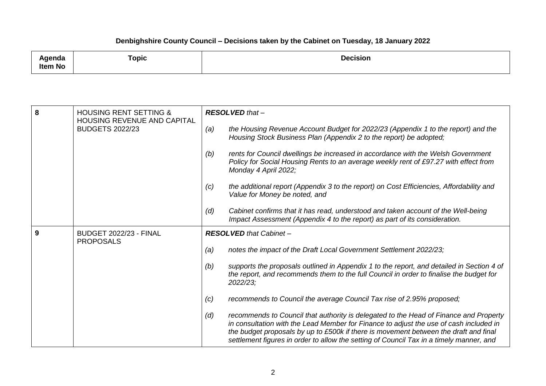## **Denbighshire County Council – Decisions taken by the Cabinet on Tuesday, 18 January 2022**

| <b>\genda</b><br><b>Item No</b> | Горіс | <b>Decision</b><br>the contract of the contract of the contract of the contract of the contract of the contract of the contract of |
|---------------------------------|-------|------------------------------------------------------------------------------------------------------------------------------------|
|                                 |       |                                                                                                                                    |

| 8 | <b>HOUSING RENT SETTING &amp;</b><br>HOUSING REVENUE AND CAPITAL | $RESOLVED that -$                                                                                                                                                                                                                                                                                                                                                         |
|---|------------------------------------------------------------------|---------------------------------------------------------------------------------------------------------------------------------------------------------------------------------------------------------------------------------------------------------------------------------------------------------------------------------------------------------------------------|
|   | <b>BUDGETS 2022/23</b>                                           | the Housing Revenue Account Budget for 2022/23 (Appendix 1 to the report) and the<br>(a)<br>Housing Stock Business Plan (Appendix 2 to the report) be adopted;                                                                                                                                                                                                            |
|   |                                                                  | rents for Council dwellings be increased in accordance with the Welsh Government<br>(b)<br>Policy for Social Housing Rents to an average weekly rent of £97.27 with effect from<br>Monday 4 April 2022;                                                                                                                                                                   |
|   |                                                                  | the additional report (Appendix 3 to the report) on Cost Efficiencies, Affordability and<br>(c)<br>Value for Money be noted, and                                                                                                                                                                                                                                          |
|   |                                                                  | Cabinet confirms that it has read, understood and taken account of the Well-being<br>(d)<br>Impact Assessment (Appendix 4 to the report) as part of its consideration.                                                                                                                                                                                                    |
| 9 | <b>BUDGET 2022/23 - FINAL</b><br><b>PROPOSALS</b>                | <b>RESOLVED</b> that Cabinet -                                                                                                                                                                                                                                                                                                                                            |
|   |                                                                  | (a)<br>notes the impact of the Draft Local Government Settlement 2022/23;                                                                                                                                                                                                                                                                                                 |
|   |                                                                  | supports the proposals outlined in Appendix 1 to the report, and detailed in Section 4 of<br>(b)<br>the report, and recommends them to the full Council in order to finalise the budget for<br>2022/23;                                                                                                                                                                   |
|   |                                                                  | recommends to Council the average Council Tax rise of 2.95% proposed;<br>(c)                                                                                                                                                                                                                                                                                              |
|   |                                                                  | (d)<br>recommends to Council that authority is delegated to the Head of Finance and Property<br>in consultation with the Lead Member for Finance to adjust the use of cash included in<br>the budget proposals by up to £500k if there is movement between the draft and final<br>settlement figures in order to allow the setting of Council Tax in a timely manner, and |